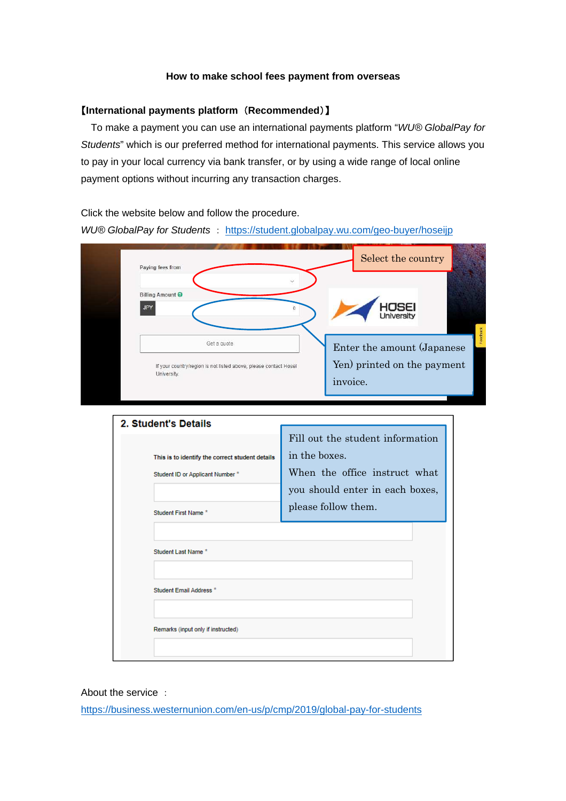## **How to make school fees payment from overseas**

## 【**International payments platform** (**Recommended**)】

To make a payment you can use an international payments platform "WU® GlobalPay for Students" which is our preferred method for international payments. This service allows you to pay in your local currency via bank transfer, or by using a wide range of local online payment options without incurring any transaction charges.

Click the website below and follow the procedure. WU® GlobalPay for Students : https://student.globalpay.wu.com/geo-buyer/hoseijp

| Paying fees from                                                                | Select the country                      |
|---------------------------------------------------------------------------------|-----------------------------------------|
| $\sim$<br><b>Billing Amount ●</b><br><b>JPY</b>                                 | HOSEI<br>University                     |
| Get a quote                                                                     | Enter the amount (Japanese              |
| If your country/region is not listed above, please contact Hosei<br>University. | Yen) printed on the payment<br>invoice. |

| 2. Student's Details                            |                                  |
|-------------------------------------------------|----------------------------------|
|                                                 | Fill out the student information |
| This is to identify the correct student details | in the boxes.                    |
| Student ID or Applicant Number *                | When the office instruct what    |
|                                                 | you should enter in each boxes,  |
| Student First Name*                             | please follow them.              |
|                                                 |                                  |
| Student Last Name*                              |                                  |
|                                                 |                                  |
| Student Email Address *                         |                                  |
|                                                 |                                  |
| Remarks (input only if instructed)              |                                  |
|                                                 |                                  |

About the service :

https://business.westernunion.com/en-us/p/cmp/2019/global-pay-for-students